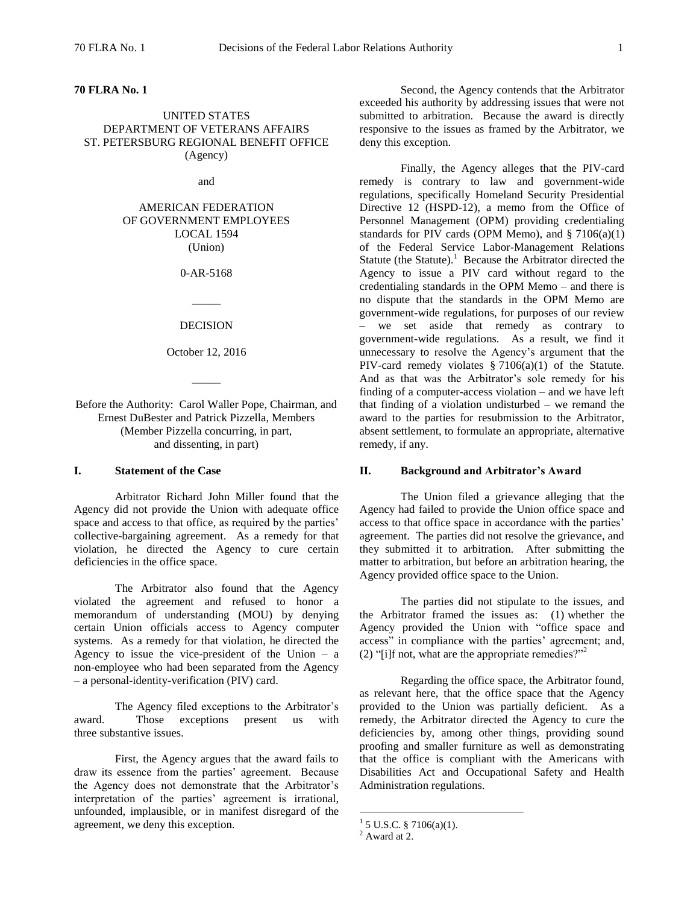### **70 FLRA No. 1**

# UNITED STATES DEPARTMENT OF VETERANS AFFAIRS ST. PETERSBURG REGIONAL BENEFIT OFFICE (Agency)

and

AMERICAN FEDERATION OF GOVERNMENT EMPLOYEES LOCAL 1594 (Union)

0-AR-5168

### DECISION

 $\overline{\phantom{a}}$ 

October 12, 2016

 $\overline{\phantom{a}}$ 

Before the Authority: Carol Waller Pope, Chairman, and Ernest DuBester and Patrick Pizzella, Members (Member Pizzella concurring, in part, and dissenting, in part)

# **I. Statement of the Case**

Arbitrator Richard John Miller found that the Agency did not provide the Union with adequate office space and access to that office, as required by the parties' collective-bargaining agreement. As a remedy for that violation, he directed the Agency to cure certain deficiencies in the office space.

The Arbitrator also found that the Agency violated the agreement and refused to honor a memorandum of understanding (MOU) by denying certain Union officials access to Agency computer systems. As a remedy for that violation, he directed the Agency to issue the vice-president of the Union  $-$  a non-employee who had been separated from the Agency – a personal-identity-verification (PIV) card.

The Agency filed exceptions to the Arbitrator's award. Those exceptions present us with three substantive issues.

First, the Agency argues that the award fails to draw its essence from the parties' agreement. Because the Agency does not demonstrate that the Arbitrator's interpretation of the parties' agreement is irrational, unfounded, implausible, or in manifest disregard of the agreement, we deny this exception.

Second, the Agency contends that the Arbitrator exceeded his authority by addressing issues that were not submitted to arbitration. Because the award is directly responsive to the issues as framed by the Arbitrator, we deny this exception.

Finally, the Agency alleges that the PIV-card remedy is contrary to law and government-wide regulations, specifically Homeland Security Presidential Directive 12 (HSPD-12), a memo from the Office of Personnel Management (OPM) providing credentialing standards for PIV cards (OPM Memo), and  $\S 7106(a)(1)$ of the Federal Service Labor-Management Relations Statute (the Statute). $1$  Because the Arbitrator directed the Agency to issue a PIV card without regard to the credentialing standards in the OPM Memo – and there is no dispute that the standards in the OPM Memo are government-wide regulations, for purposes of our review – we set aside that remedy as contrary to government-wide regulations. As a result, we find it unnecessary to resolve the Agency's argument that the PIV-card remedy violates § 7106(a)(1) of the Statute. And as that was the Arbitrator's sole remedy for his finding of a computer-access violation – and we have left that finding of a violation undisturbed – we remand the award to the parties for resubmission to the Arbitrator, absent settlement, to formulate an appropriate, alternative remedy, if any.

### **II. Background and Arbitrator's Award**

The Union filed a grievance alleging that the Agency had failed to provide the Union office space and access to that office space in accordance with the parties' agreement. The parties did not resolve the grievance, and they submitted it to arbitration. After submitting the matter to arbitration, but before an arbitration hearing, the Agency provided office space to the Union.

The parties did not stipulate to the issues, and the Arbitrator framed the issues as: (1) whether the Agency provided the Union with "office space and access" in compliance with the parties' agreement; and, (2) "[i]f not, what are the appropriate remedies?"<sup>2</sup>

Regarding the office space, the Arbitrator found, as relevant here, that the office space that the Agency provided to the Union was partially deficient. As a remedy, the Arbitrator directed the Agency to cure the deficiencies by, among other things, providing sound proofing and smaller furniture as well as demonstrating that the office is compliant with the Americans with Disabilities Act and Occupational Safety and Health Administration regulations.

 $1$  5 U.S.C. § 7106(a)(1).

<sup>2</sup> Award at 2.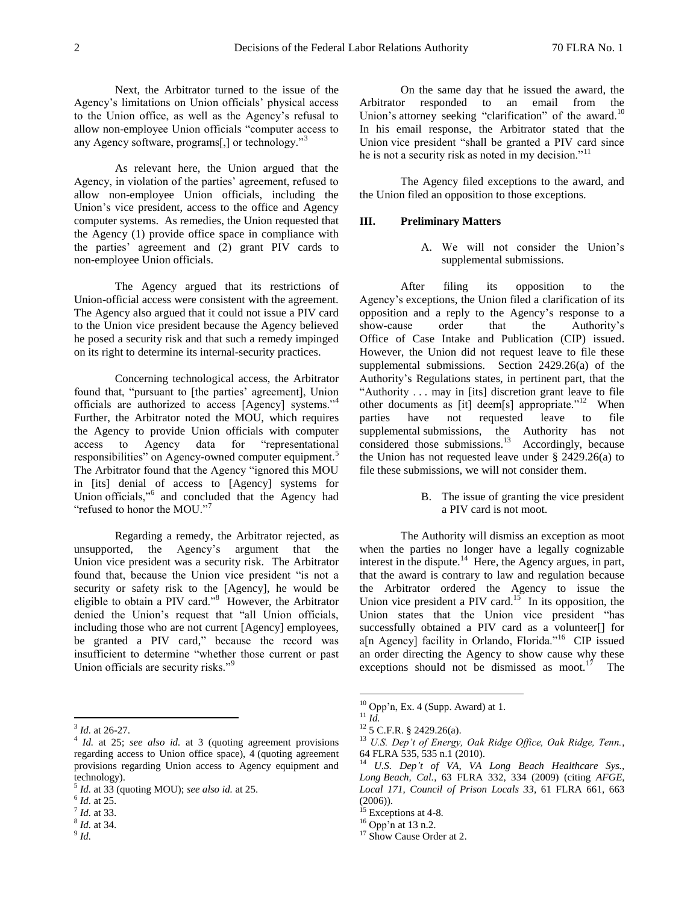Next, the Arbitrator turned to the issue of the Agency's limitations on Union officials' physical access to the Union office, as well as the Agency's refusal to allow non-employee Union officials "computer access to any Agency software, programs[,] or technology."<sup>3</sup>

As relevant here, the Union argued that the Agency, in violation of the parties' agreement, refused to allow non-employee Union officials, including the Union's vice president, access to the office and Agency computer systems. As remedies, the Union requested that the Agency (1) provide office space in compliance with the parties' agreement and (2) grant PIV cards to non-employee Union officials.

The Agency argued that its restrictions of Union-official access were consistent with the agreement. The Agency also argued that it could not issue a PIV card to the Union vice president because the Agency believed he posed a security risk and that such a remedy impinged on its right to determine its internal-security practices.

Concerning technological access, the Arbitrator found that, "pursuant to [the parties' agreement], Union officials are authorized to access [Agency] systems."<sup>4</sup> Further, the Arbitrator noted the MOU, which requires the Agency to provide Union officials with computer access to Agency data for "representational responsibilities" on Agency-owned computer equipment.<sup>5</sup> The Arbitrator found that the Agency "ignored this MOU in [its] denial of access to [Agency] systems for Union officials,"<sup>6</sup> and concluded that the Agency had "refused to honor the MOU."<sup>7</sup>

Regarding a remedy, the Arbitrator rejected, as unsupported, the Agency's argument that the Union vice president was a security risk. The Arbitrator found that, because the Union vice president "is not a security or safety risk to the [Agency], he would be eligible to obtain a PIV card."<sup>8</sup> However, the Arbitrator denied the Union's request that "all Union officials, including those who are not current [Agency] employees, be granted a PIV card," because the record was insufficient to determine "whether those current or past Union officials are security risks."<sup>9</sup>

9 *Id.*

On the same day that he issued the award, the Arbitrator responded to an email from the Union's attorney seeking "clarification" of the award.<sup>10</sup> In his email response, the Arbitrator stated that the Union vice president "shall be granted a PIV card since he is not a security risk as noted in my decision."<sup>11</sup>

The Agency filed exceptions to the award, and the Union filed an opposition to those exceptions.

### **III. Preliminary Matters**

A. We will not consider the Union's supplemental submissions.

After filing its opposition to the Agency's exceptions, the Union filed a clarification of its opposition and a reply to the Agency's response to a show-cause order that the Authority's Office of Case Intake and Publication (CIP) issued. However, the Union did not request leave to file these supplemental submissions. Section 2429.26(a) of the Authority's Regulations states, in pertinent part, that the "Authority . . . may in [its] discretion grant leave to file other documents as [it] deem[s] appropriate."<sup>12</sup> When parties have not requested leave to file supplemental submissions, the Authority has not considered those submissions.<sup>13</sup> Accordingly, because the Union has not requested leave under § 2429.26(a) to file these submissions, we will not consider them.

> B. The issue of granting the vice president a PIV card is not moot.

The Authority will dismiss an exception as moot when the parties no longer have a legally cognizable interest in the dispute.<sup>14</sup> Here, the Agency argues, in part, that the award is contrary to law and regulation because the Arbitrator ordered the Agency to issue the Union vice president a PIV card.<sup>15</sup> In its opposition, the Union states that the Union vice president "has successfully obtained a PIV card as a volunteer[] for a[n Agency] facility in Orlando, Florida."<sup>16</sup> CIP issued an order directing the Agency to show cause why these exceptions should not be dismissed as moot.<sup>17</sup> The

 3 *Id.* at 26-27.

<sup>4</sup> *Id.* at 25; *see also id.* at 3 (quoting agreement provisions regarding access to Union office space), 4 (quoting agreement provisions regarding Union access to Agency equipment and technology).

<sup>5</sup> *Id.* at 33 (quoting MOU); *see also id.* at 25.

<sup>6</sup> *Id.* at 25.

<sup>7</sup> *Id.* at 33.

<sup>8</sup> *Id.* at 34.

 $10$  Opp'n, Ex. 4 (Supp. Award) at 1.

 $^{11}$   $\tilde{Id}$ .

<sup>12</sup> 5 C.F.R. § 2429.26(a).

<sup>13</sup> *U.S. Dep't of Energy, Oak Ridge Office, Oak Ridge, Tenn.*, 64 FLRA 535, 535 n.1 (2010).

<sup>14</sup> *U.S. Dep't of VA, VA Long Beach Healthcare Sys., Long Beach, Cal.*, 63 FLRA 332, 334 (2009) (citing *AFGE, Local 171, Council of Prison Locals 33*, 61 FLRA 661, 663  $(2006)$ ).

Exceptions at 4-8.

 $16$  Opp'n at 13 n.2.

<sup>&</sup>lt;sup>17</sup> Show Cause Order at 2.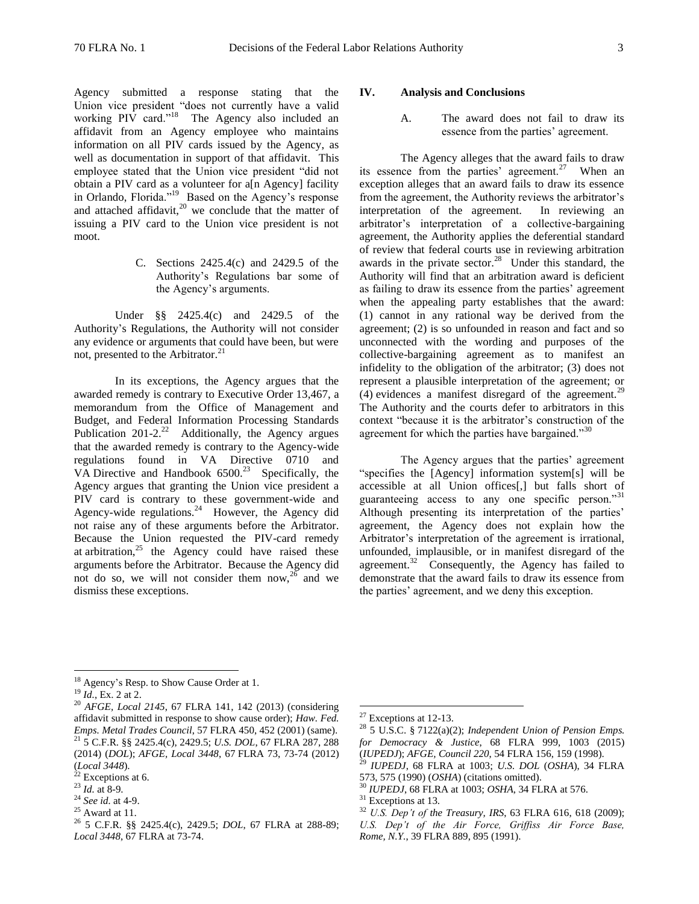Agency submitted a response stating that the Union vice president "does not currently have a valid working PIV card."<sup>18</sup> The Agency also included an affidavit from an Agency employee who maintains information on all PIV cards issued by the Agency, as well as documentation in support of that affidavit. This employee stated that the Union vice president "did not obtain a PIV card as a volunteer for a[n Agency] facility in Orlando, Florida."<sup>19</sup> Based on the Agency's response and attached affidavit, $2^0$  we conclude that the matter of issuing a PIV card to the Union vice president is not moot.

> C. Sections 2425.4(c) and 2429.5 of the Authority's Regulations bar some of the Agency's arguments.

Under §§ 2425.4(c) and 2429.5 of the Authority's Regulations, the Authority will not consider any evidence or arguments that could have been, but were not, presented to the Arbitrator.<sup>21</sup>

In its exceptions, the Agency argues that the awarded remedy is contrary to Executive Order 13,467, a memorandum from the Office of Management and Budget, and Federal Information Processing Standards Publication  $201-2.^{22}$  Additionally, the Agency argues that the awarded remedy is contrary to the Agency-wide regulations found in VA Directive 0710 and VA Directive and Handbook  $6500<sup>23</sup>$  Specifically, the Agency argues that granting the Union vice president a PIV card is contrary to these government-wide and Agency-wide regulations. $24$  However, the Agency did not raise any of these arguments before the Arbitrator. Because the Union requested the PIV-card remedy at arbitration, $25$  the Agency could have raised these arguments before the Arbitrator. Because the Agency did not do so, we will not consider them now,  $26$  and we dismiss these exceptions.

### **IV. Analysis and Conclusions**

A. The award does not fail to draw its essence from the parties' agreement.

The Agency alleges that the award fails to draw its essence from the parties' agreement.<sup>27</sup> When an exception alleges that an award fails to draw its essence from the agreement, the Authority reviews the arbitrator's interpretation of the agreement. In reviewing an arbitrator's interpretation of a collective-bargaining agreement, the Authority applies the deferential standard of review that federal courts use in reviewing arbitration awards in the private sector.<sup>28</sup> Under this standard, the Authority will find that an arbitration award is deficient as failing to draw its essence from the parties' agreement when the appealing party establishes that the award: (1) cannot in any rational way be derived from the agreement; (2) is so unfounded in reason and fact and so unconnected with the wording and purposes of the collective-bargaining agreement as to manifest an infidelity to the obligation of the arbitrator; (3) does not represent a plausible interpretation of the agreement; or  $(4)$  evidences a manifest disregard of the agreement.<sup>29</sup> The Authority and the courts defer to arbitrators in this context "because it is the arbitrator's construction of the agreement for which the parties have bargained."<sup>30</sup>

The Agency argues that the parties' agreement "specifies the [Agency] information system[s] will be accessible at all Union offices[,] but falls short of guaranteeing access to any one specific person."<sup>31</sup> Although presenting its interpretation of the parties' agreement, the Agency does not explain how the Arbitrator's interpretation of the agreement is irrational, unfounded, implausible, or in manifest disregard of the agreement. $32$  Consequently, the Agency has failed to demonstrate that the award fails to draw its essence from the parties' agreement, and we deny this exception.

 $\overline{a}$ 

- <sup>24</sup> *See id.* at 4-9.
- $25$  Award at 11.

<sup>&</sup>lt;sup>18</sup> Agency's Resp. to Show Cause Order at 1.

<sup>19</sup> *Id.*, Ex. 2 at 2.

<sup>20</sup> *AFGE, Local 2145*, 67 FLRA 141, 142 (2013) (considering affidavit submitted in response to show cause order); *Haw. Fed. Emps. Metal Trades Council*, 57 FLRA 450, 452 (2001) (same). <sup>21</sup> 5 C.F.R. §§ 2425.4(c), 2429.5; *U.S. DOL*, 67 FLRA 287, 288 (2014) (*DOL*); *AFGE, Local 3448*, 67 FLRA 73, 73-74 (2012) (*Local 3448*).

 $22$  Exceptions at 6.

<sup>23</sup> *Id.* at 8-9.

<sup>26</sup> 5 C.F.R. §§ 2425.4(c), 2429.5; *DOL*, 67 FLRA at 288-89; *Local 3448*, 67 FLRA at 73-74.

 $27$  Exceptions at 12-13.

<sup>28</sup> 5 U.S.C. § 7122(a)(2); *Independent Union of Pension Emps. for Democracy & Justice*, 68 FLRA 999, 1003 (2015) (*IUPEDJ*); *AFGE*, *Council 220*, 54 FLRA 156, 159 (1998).<br><sup>29</sup> IUPEDJ 68 FLRA 155, 159 (1998).

<sup>29</sup> *IUPEDJ*, 68 FLRA at 1003; *U.S. DOL* (*OSHA*), 34 FLRA 573, 575 (1990) (*OSHA*) (citations omitted).

<sup>30</sup> *IUPEDJ*, 68 FLRA at 1003; *OSHA*, 34 FLRA at 576.

<sup>&</sup>lt;sup>31</sup> Exceptions at 13.

<sup>32</sup> *U.S. Dep't of the Treasury, IRS*, 63 FLRA 616, 618 (2009); *U.S. Dep't of the Air Force, Griffiss Air Force Base, Rome, N.Y.*, 39 FLRA 889, 895 (1991).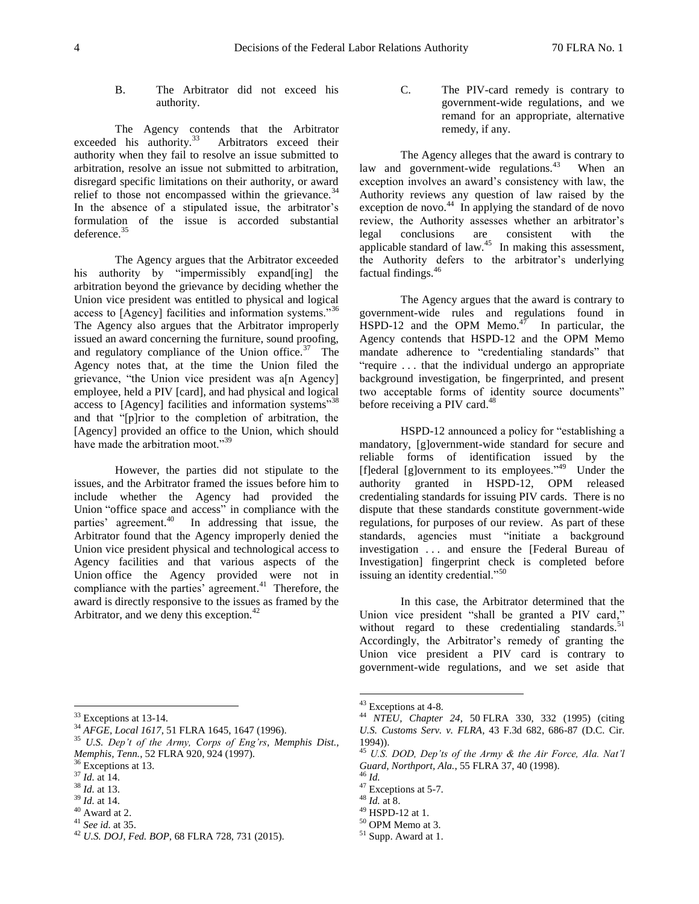## B. The Arbitrator did not exceed his authority.

The Agency contends that the Arbitrator exceeded his authority.<sup>33</sup> Arbitrators exceed their authority when they fail to resolve an issue submitted to arbitration, resolve an issue not submitted to arbitration, disregard specific limitations on their authority, or award relief to those not encompassed within the grievance. $34$ In the absence of a stipulated issue, the arbitrator's formulation of the issue is accorded substantial deference.<sup>35</sup>

The Agency argues that the Arbitrator exceeded his authority by "impermissibly expand[ing] the arbitration beyond the grievance by deciding whether the Union vice president was entitled to physical and logical access to [Agency] facilities and information systems."<sup>36</sup> The Agency also argues that the Arbitrator improperly issued an award concerning the furniture, sound proofing, and regulatory compliance of the Union office.<sup>37</sup> The Agency notes that, at the time the Union filed the grievance, "the Union vice president was a<sup>[n Agency]</sup> employee, held a PIV [card], and had physical and logical access to [Agency] facilities and information systems"<sup>38</sup> and that "[p]rior to the completion of arbitration, the [Agency] provided an office to the Union, which should have made the arbitration moot."<sup>39</sup>

However, the parties did not stipulate to the issues, and the Arbitrator framed the issues before him to include whether the Agency had provided the Union "office space and access" in compliance with the parties' agreement. 40 In addressing that issue, the Arbitrator found that the Agency improperly denied the Union vice president physical and technological access to Agency facilities and that various aspects of the Union office the Agency provided were not in compliance with the parties' agreement.<sup>41</sup> Therefore, the award is directly responsive to the issues as framed by the Arbitrator, and we deny this exception.<sup>42</sup>

C. The PIV-card remedy is contrary to government-wide regulations, and we remand for an appropriate, alternative remedy, if any.

The Agency alleges that the award is contrary to law and government-wide regulations.<sup>43</sup> When an exception involves an award's consistency with law, the Authority reviews any question of law raised by the exception de novo.<sup>44</sup> In applying the standard of de novo review, the Authority assesses whether an arbitrator's legal conclusions are consistent with the applicable standard of law. $45$  In making this assessment, the Authority defers to the arbitrator's underlying factual findings.<sup>46</sup>

The Agency argues that the award is contrary to government-wide rules and regulations found in  $\text{HSPD-12}$  and the OPM Memo.<sup>47</sup> In particular, the Agency contends that HSPD-12 and the OPM Memo mandate adherence to "credentialing standards" that "require . . . that the individual undergo an appropriate background investigation, be fingerprinted, and present two acceptable forms of identity source documents" before receiving a PIV card.<sup>48</sup>

HSPD-12 announced a policy for "establishing a mandatory, [g]overnment-wide standard for secure and reliable forms of identification issued by the [f]ederal [g]overnment to its employees."<sup>49</sup> Under the authority granted in HSPD-12, OPM released credentialing standards for issuing PIV cards. There is no dispute that these standards constitute government-wide regulations, for purposes of our review. As part of these standards, agencies must "initiate a background investigation . . . and ensure the [Federal Bureau of Investigation] fingerprint check is completed before issuing an identity credential."<sup>50</sup>

In this case, the Arbitrator determined that the Union vice president "shall be granted a PIV card," without regard to these credentialing standards. $51$ Accordingly, the Arbitrator's remedy of granting the Union vice president a PIV card is contrary to government-wide regulations, and we set aside that

 $\overline{a}$ <sup>33</sup> Exceptions at 13-14.

<sup>34</sup> *AFGE, Local 1617*, 51 FLRA 1645, 1647 (1996).

<sup>35</sup> *U.S. Dep't of the Army, Corps of Eng'rs, Memphis Dist., Memphis, Tenn.*, 52 FLRA 920, 924 (1997).

<sup>&</sup>lt;sup>36</sup> Exceptions at 13.

<sup>37</sup> *Id.* at 14.

<sup>38</sup> *Id.* at 13.

<sup>39</sup> *Id.* at 14.

 $40$  Award at 2.

<sup>41</sup> *See id.* at 35.

<sup>42</sup> *U.S. DOJ, Fed. BOP*, 68 FLRA 728, 731 (2015).

 $43$  Exceptions at 4-8.

<sup>44</sup> *NTEU, Chapter 24*, 50 FLRA 330, 332 (1995) (citing *U.S. Customs Serv. v. FLRA*, 43 F.3d 682, 686-87 (D.C. Cir. 1994)).

<sup>45</sup> *U.S. DOD, Dep'ts of the Army & the Air Force, Ala. Nat'l Guard, Northport, Ala.*, 55 FLRA 37, 40 (1998).  $46$  *Id.* 

<sup>&</sup>lt;sup>47</sup> Exceptions at 5-7.

<sup>48</sup> *Id.* at 8.

<sup>49</sup> HSPD-12 at 1.

<sup>50</sup> OPM Memo at 3.

<sup>51</sup> Supp. Award at 1.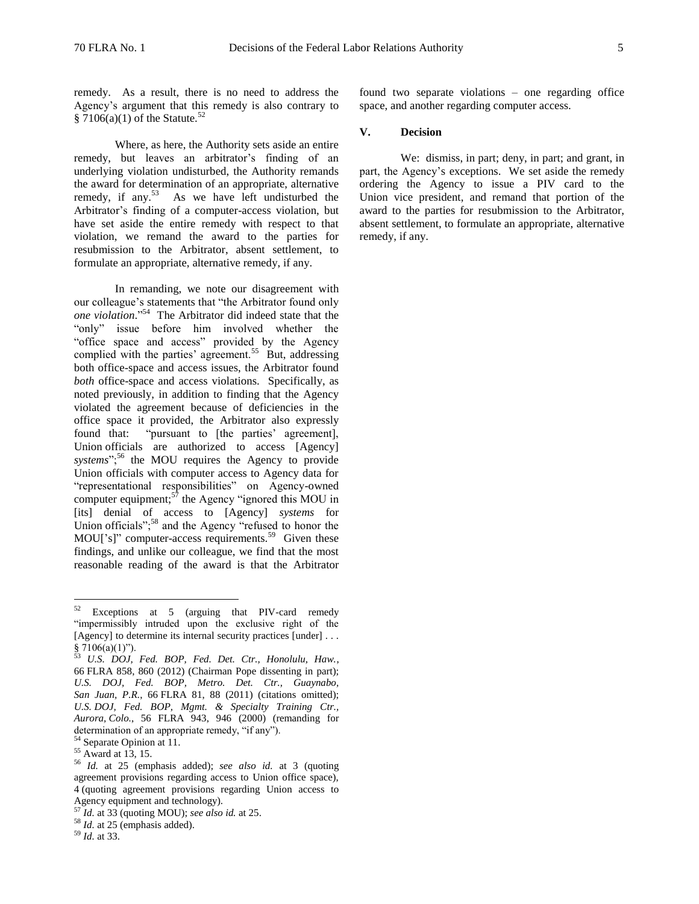remedy. As a result, there is no need to address the Agency's argument that this remedy is also contrary to § 7106(a)(1) of the Statute.<sup>52</sup>

Where, as here, the Authority sets aside an entire remedy, but leaves an arbitrator's finding of an underlying violation undisturbed, the Authority remands the award for determination of an appropriate, alternative remedy, if any.<sup>53</sup> As we have left undisturbed the Arbitrator's finding of a computer-access violation, but have set aside the entire remedy with respect to that violation, we remand the award to the parties for resubmission to the Arbitrator, absent settlement, to formulate an appropriate, alternative remedy, if any.

In remanding, we note our disagreement with our colleague's statements that "the Arbitrator found only *one violation*." <sup>54</sup> The Arbitrator did indeed state that the "only" issue before him involved whether the "office space and access" provided by the Agency complied with the parties' agreement.<sup>55</sup> But, addressing both office-space and access issues, the Arbitrator found *both* office-space and access violations. Specifically, as noted previously, in addition to finding that the Agency violated the agreement because of deficiencies in the office space it provided, the Arbitrator also expressly found that: "pursuant to [the parties' agreement], Union officials are authorized to access [Agency] systems";<sup>56</sup> the MOU requires the Agency to provide Union officials with computer access to Agency data for "representational responsibilities" on Agency-owned computer equipment;  $5^{\frac{7}{7}}$  the Agency "ignored this MOU in [its] denial of access to [Agency] *systems* for Union officials";<sup>58</sup> and the Agency "refused to honor the MOU['s]" computer-access requirements.<sup>59</sup> Given these findings, and unlike our colleague, we find that the most reasonable reading of the award is that the Arbitrator

<sup>54</sup> Separate Opinion at 11.

found two separate violations – one regarding office space, and another regarding computer access.

# **V. Decision**

We: dismiss, in part; deny, in part; and grant, in part, the Agency's exceptions. We set aside the remedy ordering the Agency to issue a PIV card to the Union vice president, and remand that portion of the award to the parties for resubmission to the Arbitrator, absent settlement, to formulate an appropriate, alternative remedy, if any.

<sup>52</sup> Exceptions at 5 (arguing that PIV-card remedy "impermissibly intruded upon the exclusive right of the [Agency] to determine its internal security practices [under] . . . §  $7106(a)(1)$ ").

<sup>53</sup> *U.S. DOJ, Fed. BOP, Fed. Det. Ctr., Honolulu, Haw.*, 66 FLRA 858, 860 (2012) (Chairman Pope dissenting in part); *U.S. DOJ, Fed. BOP, Metro. Det. Ctr., Guaynabo, San Juan, P.R.*, 66 FLRA 81, 88 (2011) (citations omitted); *U.S. DOJ, Fed. BOP, Mgmt. & Specialty Training Ctr., Aurora, Colo.*, 56 FLRA 943, 946 (2000) (remanding for determination of an appropriate remedy, "if any").

 $55$  Award at 13, 15.

<sup>56</sup> *Id.* at 25 (emphasis added); *see also id.* at 3 (quoting agreement provisions regarding access to Union office space), 4 (quoting agreement provisions regarding Union access to Agency equipment and technology).

<sup>57</sup> *Id.* at 33 (quoting MOU); *see also id.* at 25.

<sup>58</sup> *Id.* at 25 (emphasis added).

<sup>59</sup> *Id.* at 33.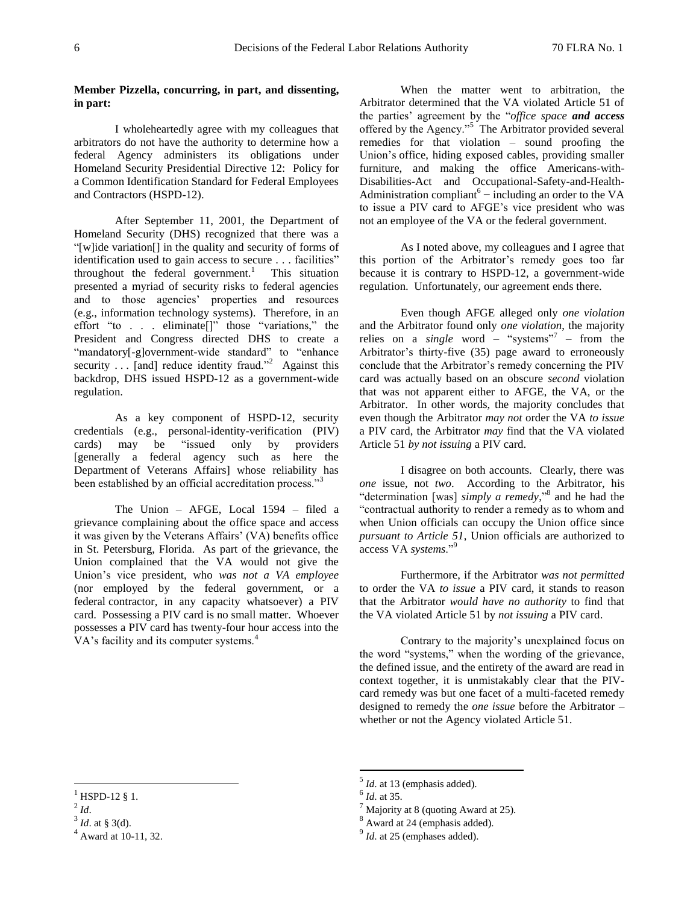# **Member Pizzella, concurring, in part, and dissenting, in part:**

I wholeheartedly agree with my colleagues that arbitrators do not have the authority to determine how a federal Agency administers its obligations under Homeland Security Presidential Directive 12: Policy for a Common Identification Standard for Federal Employees and Contractors (HSPD-12).

After September 11, 2001, the Department of Homeland Security (DHS) recognized that there was a "[w]ide variation[] in the quality and security of forms of identification used to gain access to secure . . . facilities" throughout the federal government. $<sup>1</sup>$ </sup> This situation presented a myriad of security risks to federal agencies and to those agencies' properties and resources (e.g., information technology systems). Therefore, in an effort "to . . . eliminate[]" those "variations," the President and Congress directed DHS to create a "mandatory[-g]overnment-wide standard" to "enhance" security  $\ldots$  [and] reduce identity fraud."<sup>2</sup> Against this backdrop, DHS issued HSPD-12 as a government-wide regulation.

As a key component of HSPD-12, security credentials (e.g., personal-identity-verification (PIV) cards) may be "issued only by providers [generally a federal agency such as here the Department of Veterans Affairs] whose reliability has been established by an official accreditation process."<sup>3</sup>

The Union – AFGE, Local 1594 – filed a grievance complaining about the office space and access it was given by the Veterans Affairs' (VA) benefits office in St. Petersburg, Florida. As part of the grievance, the Union complained that the VA would not give the Union's vice president, who *was not a VA employee*  (nor employed by the federal government, or a federal contractor, in any capacity whatsoever) a PIV card. Possessing a PIV card is no small matter. Whoever possesses a PIV card has twenty-four hour access into the VA's facility and its computer systems.<sup>4</sup>

When the matter went to arbitration, the Arbitrator determined that the VA violated Article 51 of the parties' agreement by the "*office space and access* offered by the Agency."<sup>5</sup> The Arbitrator provided several remedies for that violation – sound proofing the Union's office, hiding exposed cables, providing smaller furniture, and making the office Americans-with-Disabilities-Act and Occupational-Safety-and-Health-Administration compliant<sup>6</sup> – including an order to the VA to issue a PIV card to AFGE's vice president who was not an employee of the VA or the federal government.

As I noted above, my colleagues and I agree that this portion of the Arbitrator's remedy goes too far because it is contrary to HSPD-12, a government-wide regulation. Unfortunately, our agreement ends there.

Even though AFGE alleged only *one violation* and the Arbitrator found only *one violation*, the majority relies on a *single* word – "systems"<sup>7</sup> – from the Arbitrator's thirty-five (35) page award to erroneously conclude that the Arbitrator's remedy concerning the PIV card was actually based on an obscure *second* violation that was not apparent either to AFGE, the VA, or the Arbitrator. In other words, the majority concludes that even though the Arbitrator *may not* order the VA *to issue* a PIV card, the Arbitrator *may* find that the VA violated Article 51 *by not issuing* a PIV card.

I disagree on both accounts. Clearly, there was *one* issue, not *two*. According to the Arbitrator, his "determination [was] *simply a remedy*," 8 and he had the "contractual authority to render a remedy as to whom and when Union officials can occupy the Union office since *pursuant to Article 51*, Union officials are authorized to access VA *systems*."<sup>9</sup>

Furthermore, if the Arbitrator *was not permitted* to order the VA *to issue* a PIV card, it stands to reason that the Arbitrator *would have no authority* to find that the VA violated Article 51 by *not issuing* a PIV card.

Contrary to the majority's unexplained focus on the word "systems," when the wording of the grievance, the defined issue, and the entirety of the award are read in context together, it is unmistakably clear that the PIVcard remedy was but one facet of a multi-faceted remedy designed to remedy the *one issue* before the Arbitrator – whether or not the Agency violated Article 51.

 $\overline{a}$ 

 $^{1}$  HSPD-12 § 1.

 $^{2}$ *Id*.

 $3^3$  *Id.* at § 3(d).

<sup>4</sup> Award at 10-11, 32.

<sup>5</sup> *Id*. at 13 (emphasis added).

<sup>6</sup> *Id*. at 35.

Majority at 8 (quoting Award at 25).

<sup>8</sup> Award at 24 (emphasis added).

<sup>&</sup>lt;sup>9</sup> *Id*. at 25 (emphases added).